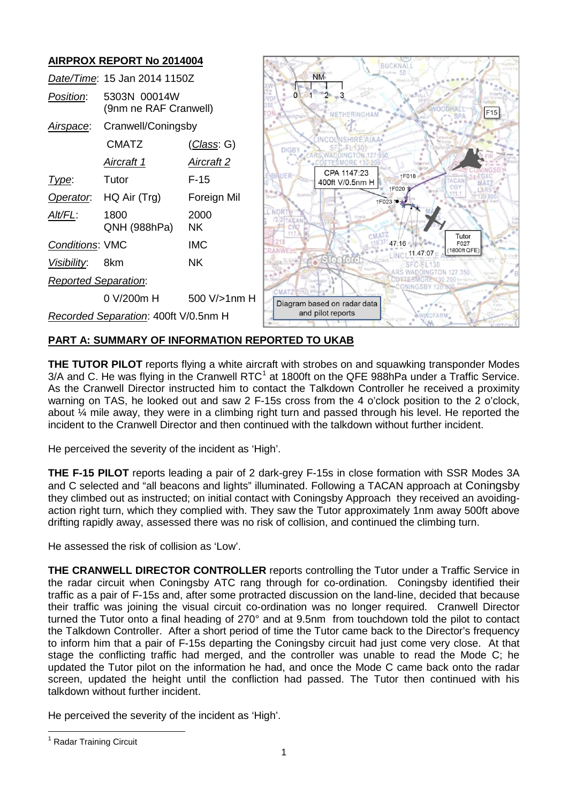

# **PART A: SUMMARY OF INFORMATION REPORTED TO UKAB**

**THE TUTOR PILOT** reports flying a white aircraft with strobes on and squawking transponder Modes  $3/A$  and C. He was flying in the Cranwell RTC<sup>[1](#page-0-0)</sup> at 1800ft on the QFE 988hPa under a Traffic Service. As the Cranwell Director instructed him to contact the Talkdown Controller he received a proximity warning on TAS, he looked out and saw 2 F-15s cross from the 4 o'clock position to the 2 o'clock, about ¼ mile away, they were in a climbing right turn and passed through his level. He reported the incident to the Cranwell Director and then continued with the talkdown without further incident.

He perceived the severity of the incident as 'High'.

**THE F-15 PILOT** reports leading a pair of 2 dark-grey F-15s in close formation with SSR Modes 3A and C selected and "all beacons and lights" illuminated. Following a TACAN approach at Coningsby they climbed out as instructed; on initial contact with Coningsby Approach they received an avoidingaction right turn, which they complied with. They saw the Tutor approximately 1nm away 500ft above drifting rapidly away, assessed there was no risk of collision, and continued the climbing turn.

He assessed the risk of collision as 'Low'.

**THE CRANWELL DIRECTOR CONTROLLER** reports controlling the Tutor under a Traffic Service in the radar circuit when Coningsby ATC rang through for co-ordination. Coningsby identified their traffic as a pair of F-15s and, after some protracted discussion on the land-line, decided that because their traffic was joining the visual circuit co-ordination was no longer required. Cranwell Director turned the Tutor onto a final heading of 270° and at 9.5nm from touchdown told the pilot to contact the Talkdown Controller. After a short period of time the Tutor came back to the Director's frequency to inform him that a pair of F-15s departing the Coningsby circuit had just come very close. At that stage the conflicting traffic had merged, and the controller was unable to read the Mode C; he updated the Tutor pilot on the information he had, and once the Mode C came back onto the radar screen, updated the height until the confliction had passed. The Tutor then continued with his talkdown without further incident.

He perceived the severity of the incident as 'High'.

<span id="page-0-0"></span><sup>&</sup>lt;sup>1</sup> Radar Training Circuit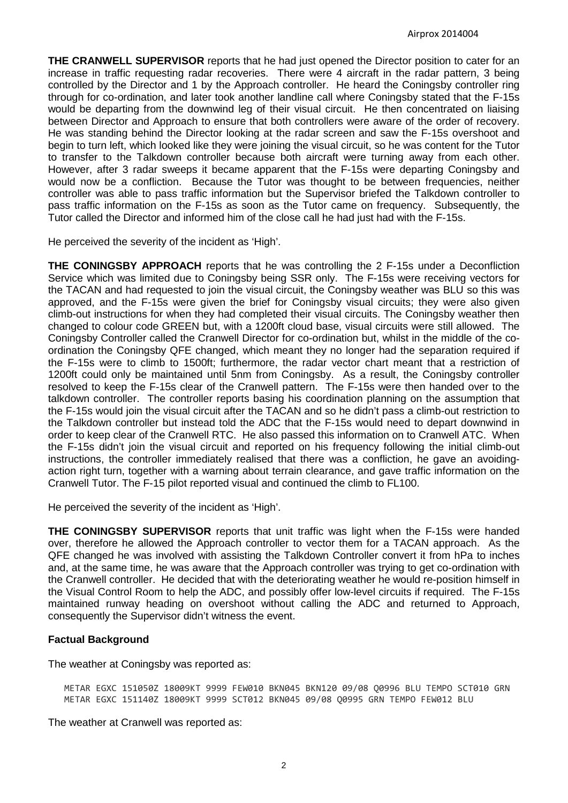**THE CRANWELL SUPERVISOR** reports that he had just opened the Director position to cater for an increase in traffic requesting radar recoveries. There were 4 aircraft in the radar pattern, 3 being controlled by the Director and 1 by the Approach controller. He heard the Coningsby controller ring through for co-ordination, and later took another landline call where Coningsby stated that the F-15s would be departing from the downwind leg of their visual circuit. He then concentrated on liaising between Director and Approach to ensure that both controllers were aware of the order of recovery. He was standing behind the Director looking at the radar screen and saw the F-15s overshoot and begin to turn left, which looked like they were joining the visual circuit, so he was content for the Tutor to transfer to the Talkdown controller because both aircraft were turning away from each other. However, after 3 radar sweeps it became apparent that the F-15s were departing Coningsby and would now be a confliction. Because the Tutor was thought to be between frequencies, neither controller was able to pass traffic information but the Supervisor briefed the Talkdown controller to pass traffic information on the F-15s as soon as the Tutor came on frequency. Subsequently, the Tutor called the Director and informed him of the close call he had just had with the F-15s.

He perceived the severity of the incident as 'High'.

**THE CONINGSBY APPROACH** reports that he was controlling the 2 F-15s under a Deconfliction Service which was limited due to Coningsby being SSR only. The F-15s were receiving vectors for the TACAN and had requested to join the visual circuit, the Coningsby weather was BLU so this was approved, and the F-15s were given the brief for Coningsby visual circuits; they were also given climb-out instructions for when they had completed their visual circuits. The Coningsby weather then changed to colour code GREEN but, with a 1200ft cloud base, visual circuits were still allowed. The Coningsby Controller called the Cranwell Director for co-ordination but, whilst in the middle of the coordination the Coningsby QFE changed, which meant they no longer had the separation required if the F-15s were to climb to 1500ft; furthermore, the radar vector chart meant that a restriction of 1200ft could only be maintained until 5nm from Coningsby. As a result, the Coningsby controller resolved to keep the F-15s clear of the Cranwell pattern. The F-15s were then handed over to the talkdown controller. The controller reports basing his coordination planning on the assumption that the F-15s would join the visual circuit after the TACAN and so he didn't pass a climb-out restriction to the Talkdown controller but instead told the ADC that the F-15s would need to depart downwind in order to keep clear of the Cranwell RTC. He also passed this information on to Cranwell ATC. When the F-15s didn't join the visual circuit and reported on his frequency following the initial climb-out instructions, the controller immediately realised that there was a confliction, he gave an avoidingaction right turn, together with a warning about terrain clearance, and gave traffic information on the Cranwell Tutor. The F-15 pilot reported visual and continued the climb to FL100.

He perceived the severity of the incident as 'High'.

**THE CONINGSBY SUPERVISOR** reports that unit traffic was light when the F-15s were handed over, therefore he allowed the Approach controller to vector them for a TACAN approach. As the QFE changed he was involved with assisting the Talkdown Controller convert it from hPa to inches and, at the same time, he was aware that the Approach controller was trying to get co-ordination with the Cranwell controller. He decided that with the deteriorating weather he would re-position himself in the Visual Control Room to help the ADC, and possibly offer low-level circuits if required. The F-15s maintained runway heading on overshoot without calling the ADC and returned to Approach, consequently the Supervisor didn't witness the event.

### **Factual Background**

The weather at Coningsby was reported as:

METAR EGXC 151050Z 18009KT 9999 FEW010 BKN045 BKN120 09/08 Q0996 BLU TEMPO SCT010 GRN METAR EGXC 151140Z 18009KT 9999 SCT012 BKN045 09/08 Q0995 GRN TEMPO FEW012 BLU

The weather at Cranwell was reported as: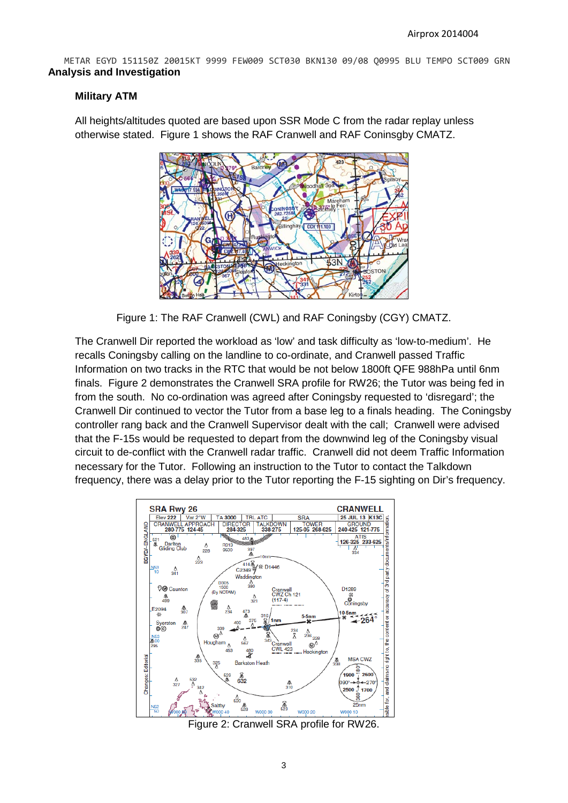METAR EGYD 151150Z 20015KT 9999 FEW009 SCT030 BKN130 09/08 Q0995 BLU TEMPO SCT009 GRN **Analysis and Investigation**

## **Military ATM**

All heights/altitudes quoted are based upon SSR Mode C from the radar replay unless otherwise stated. Figure 1 shows the RAF Cranwell and RAF Coninsgby CMATZ.



Figure 1: The RAF Cranwell (CWL) and RAF Coningsby (CGY) CMATZ.

The Cranwell Dir reported the workload as 'low' and task difficulty as 'low-to-medium'. He recalls Coningsby calling on the landline to co-ordinate, and Cranwell passed Traffic Information on two tracks in the RTC that would be not below 1800ft QFE 988hPa until 6nm finals. Figure 2 demonstrates the Cranwell SRA profile for RW26; the Tutor was being fed in from the south. No co-ordination was agreed after Coningsby requested to 'disregard'; the Cranwell Dir continued to vector the Tutor from a base leg to a finals heading. The Coningsby controller rang back and the Cranwell Supervisor dealt with the call; Cranwell were advised that the F-15s would be requested to depart from the downwind leg of the Coningsby visual circuit to de-conflict with the Cranwell radar traffic. Cranwell did not deem Traffic Information necessary for the Tutor. Following an instruction to the Tutor to contact the Talkdown frequency, there was a delay prior to the Tutor reporting the F-15 sighting on Dir's frequency.



Figure 2: Cranwell SRA profile for RW26.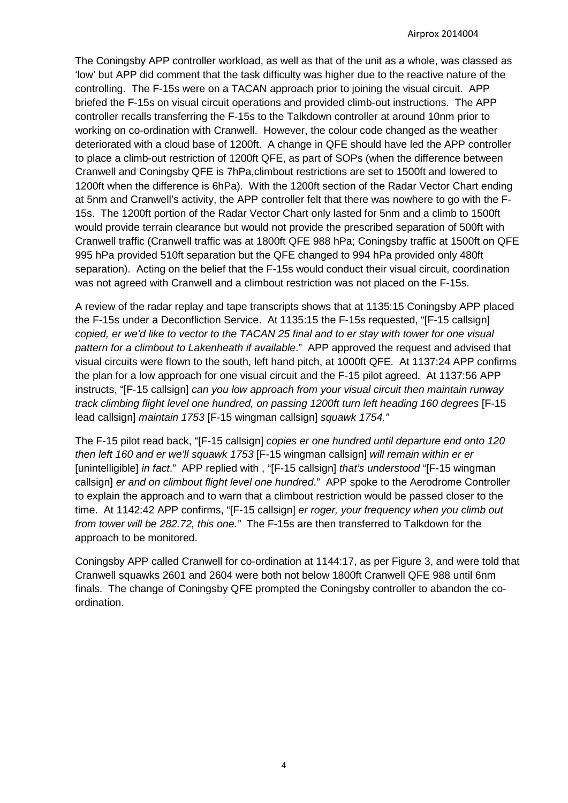The Coningsby APP controller workload, as well as that of the unit as a whole, was classed as 'low' but APP did comment that the task difficulty was higher due to the reactive nature of the controlling. The F-15s were on a TACAN approach prior to joining the visual circuit. APP briefed the F-15s on visual circuit operations and provided climb-out instructions. The APP controller recalls transferring the F-15s to the Talkdown controller at around 10nm prior to working on co-ordination with Cranwell. However, the colour code changed as the weather deteriorated with a cloud base of 1200ft. A change in QFE should have led the APP controller to place a climb-out restriction of 1200ft QFE, as part of SOPs (when the difference between Cranwell and Coningsby QFE is 7hPa,climbout restrictions are set to 1500ft and lowered to 1200ft when the difference is 6hPa). With the 1200ft section of the Radar Vector Chart ending at 5nm and Cranwell's activity, the APP controller felt that there was nowhere to go with the F-15s. The 1200ft portion of the Radar Vector Chart only lasted for 5nm and a climb to 1500ft would provide terrain clearance but would not provide the prescribed separation of 500ft with Cranwell traffic (Cranwell traffic was at 1800ft QFE 988 hPa; Coningsby traffic at 1500ft on QFE 995 hPa provided 510ft separation but the QFE changed to 994 hPa provided only 480ft separation). Acting on the belief that the F-15s would conduct their visual circuit, coordination was not agreed with Cranwell and a climbout restriction was not placed on the F-15s.

A review of the radar replay and tape transcripts shows that at 1135:15 Coningsby APP placed the F-15s under a Deconfliction Service. At 1135:15 the F-15s requested, "[F-15 callsign] *copied, er we'd like to vector to the TACAN 25 final and to er stay with tower for one visual pattern for a climbout to Lakenheath if available*." APP approved the request and advised that visual circuits were flown to the south, left hand pitch, at 1000ft QFE. At 1137:24 APP confirms the plan for a low approach for one visual circuit and the F-15 pilot agreed. At 1137:56 APP instructs, "[F-15 callsign] *can you low approach from your visual circuit then maintain runway track climbing flight level one hundred, on passing 1200ft turn left heading 160 degrees* [F-15 lead callsign] *maintain 1753* [F-15 wingman callsign] *squawk 1754."*

The F-15 pilot read back, "[F-15 callsign] *copies er one hundred until departure end onto 120 then left 160 and er we'll squawk 1753* [F-15 wingman callsign] *will remain within er er* [unintelligible] *in fact*." APP replied with , "[F-15 callsign] *that's understood* "[F-15 wingman callsign] *er and on climbout flight level one hundred*." APP spoke to the Aerodrome Controller to explain the approach and to warn that a climbout restriction would be passed closer to the time. At 1142:42 APP confirms, "[F-15 callsign] *er roger, your frequency when you climb out from tower will be 282.72, this one."* The F-15s are then transferred to Talkdown for the approach to be monitored.

Coningsby APP called Cranwell for co-ordination at 1144:17, as per Figure 3, and were told that Cranwell squawks 2601 and 2604 were both not below 1800ft Cranwell QFE 988 until 6nm finals. The change of Coningsby QFE prompted the Coningsby controller to abandon the coordination.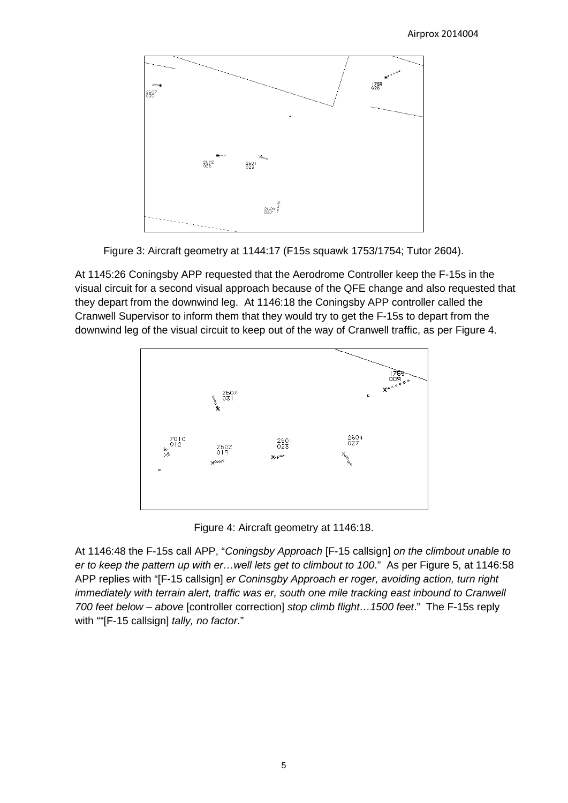

Figure 3: Aircraft geometry at 1144:17 (F15s squawk 1753/1754; Tutor 2604).

At 1145:26 Coningsby APP requested that the Aerodrome Controller keep the F-15s in the visual circuit for a second visual approach because of the QFE change and also requested that they depart from the downwind leg. At 1146:18 the Coningsby APP controller called the Cranwell Supervisor to inform them that they would try to get the F-15s to depart from the downwind leg of the visual circuit to keep out of the way of Cranwell traffic, as per Figure 4.



Figure 4: Aircraft geometry at 1146:18.

At 1146:48 the F-15s call APP, "*Coningsby Approach* [F-15 callsign] *on the climbout unable to er to keep the pattern up with er…well lets get to climbout to 100*." As per Figure 5, at 1146:58 APP replies with "[F-15 callsign] *er Coninsgby Approach er roger, avoiding action, turn right immediately with terrain alert, traffic was er, south one mile tracking east inbound to Cranwell 700 feet below – above* [controller correction] *stop climb flight…1500 feet*." The F-15s reply with ""[F-15 callsign] *tally, no factor*."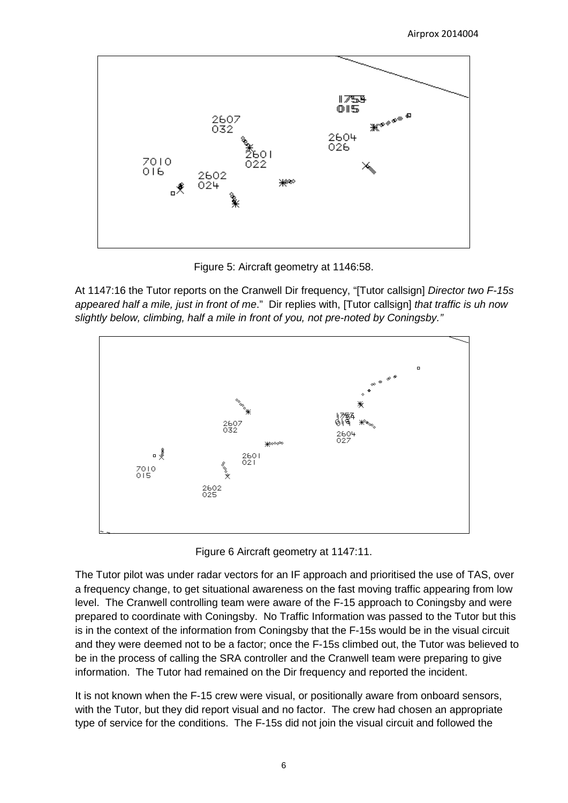

Figure 5: Aircraft geometry at 1146:58.

At 1147:16 the Tutor reports on the Cranwell Dir frequency, "[Tutor callsign] *Director two F-15s appeared half a mile, just in front of me*." Dir replies with, [Tutor callsign] *that traffic is uh now slightly below, climbing, half a mile in front of you, not pre-noted by Coningsby."*



Figure 6 Aircraft geometry at 1147:11.

The Tutor pilot was under radar vectors for an IF approach and prioritised the use of TAS, over a frequency change, to get situational awareness on the fast moving traffic appearing from low level. The Cranwell controlling team were aware of the F-15 approach to Coningsby and were prepared to coordinate with Coningsby. No Traffic Information was passed to the Tutor but this is in the context of the information from Coningsby that the F-15s would be in the visual circuit and they were deemed not to be a factor; once the F-15s climbed out, the Tutor was believed to be in the process of calling the SRA controller and the Cranwell team were preparing to give information. The Tutor had remained on the Dir frequency and reported the incident.

It is not known when the F-15 crew were visual, or positionally aware from onboard sensors, with the Tutor, but they did report visual and no factor. The crew had chosen an appropriate type of service for the conditions. The F-15s did not join the visual circuit and followed the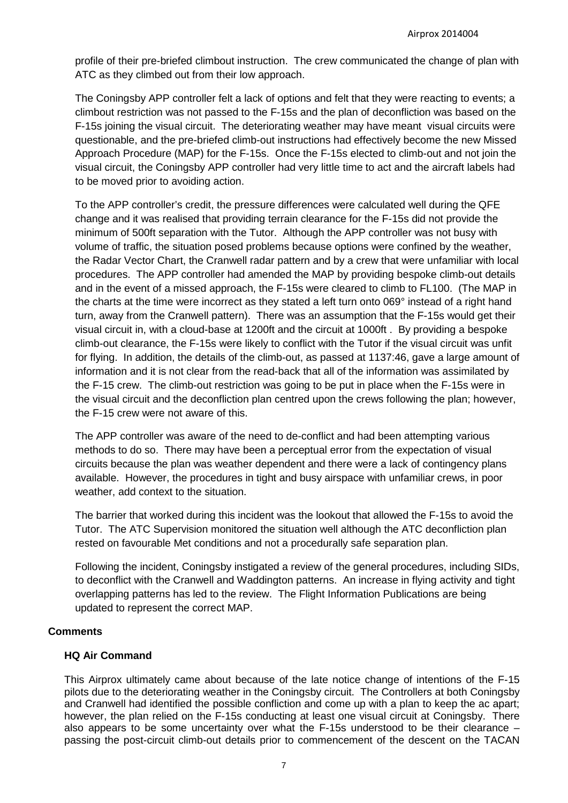profile of their pre-briefed climbout instruction. The crew communicated the change of plan with ATC as they climbed out from their low approach.

The Coningsby APP controller felt a lack of options and felt that they were reacting to events; a climbout restriction was not passed to the F-15s and the plan of deconfliction was based on the F-15s joining the visual circuit. The deteriorating weather may have meant visual circuits were questionable, and the pre-briefed climb-out instructions had effectively become the new Missed Approach Procedure (MAP) for the F-15s. Once the F-15s elected to climb-out and not join the visual circuit, the Coningsby APP controller had very little time to act and the aircraft labels had to be moved prior to avoiding action.

To the APP controller's credit, the pressure differences were calculated well during the QFE change and it was realised that providing terrain clearance for the F-15s did not provide the minimum of 500ft separation with the Tutor. Although the APP controller was not busy with volume of traffic, the situation posed problems because options were confined by the weather, the Radar Vector Chart, the Cranwell radar pattern and by a crew that were unfamiliar with local procedures. The APP controller had amended the MAP by providing bespoke climb-out details and in the event of a missed approach, the F-15s were cleared to climb to FL100. (The MAP in the charts at the time were incorrect as they stated a left turn onto 069° instead of a right hand turn, away from the Cranwell pattern). There was an assumption that the F-15s would get their visual circuit in, with a cloud-base at 1200ft and the circuit at 1000ft . By providing a bespoke climb-out clearance, the F-15s were likely to conflict with the Tutor if the visual circuit was unfit for flying. In addition, the details of the climb-out, as passed at 1137:46, gave a large amount of information and it is not clear from the read-back that all of the information was assimilated by the F-15 crew. The climb-out restriction was going to be put in place when the F-15s were in the visual circuit and the deconfliction plan centred upon the crews following the plan; however, the F-15 crew were not aware of this.

The APP controller was aware of the need to de-conflict and had been attempting various methods to do so. There may have been a perceptual error from the expectation of visual circuits because the plan was weather dependent and there were a lack of contingency plans available. However, the procedures in tight and busy airspace with unfamiliar crews, in poor weather, add context to the situation.

The barrier that worked during this incident was the lookout that allowed the F-15s to avoid the Tutor. The ATC Supervision monitored the situation well although the ATC deconfliction plan rested on favourable Met conditions and not a procedurally safe separation plan.

Following the incident, Coningsby instigated a review of the general procedures, including SIDs, to deconflict with the Cranwell and Waddington patterns. An increase in flying activity and tight overlapping patterns has led to the review. The Flight Information Publications are being updated to represent the correct MAP.

### **Comments**

## **HQ Air Command**

This Airprox ultimately came about because of the late notice change of intentions of the F-15 pilots due to the deteriorating weather in the Coningsby circuit. The Controllers at both Coningsby and Cranwell had identified the possible confliction and come up with a plan to keep the ac apart; however, the plan relied on the F-15s conducting at least one visual circuit at Coningsby. There also appears to be some uncertainty over what the F-15s understood to be their clearance – passing the post-circuit climb-out details prior to commencement of the descent on the TACAN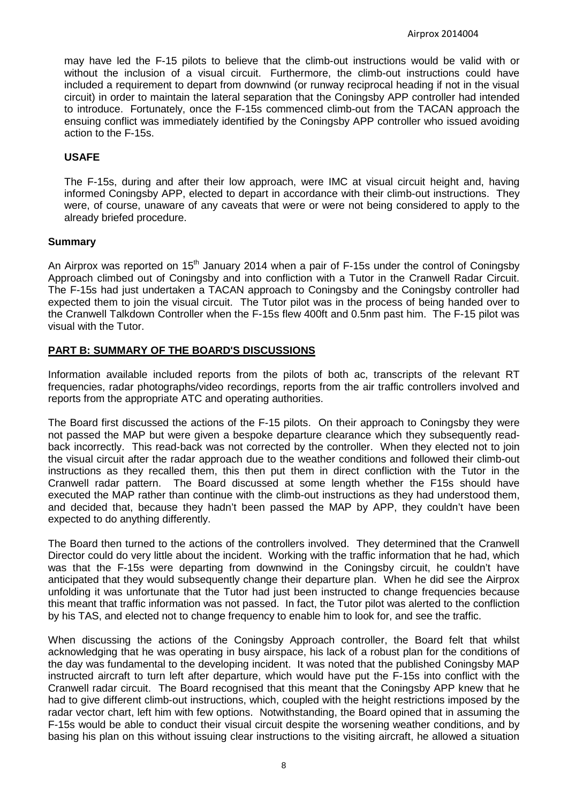may have led the F-15 pilots to believe that the climb-out instructions would be valid with or without the inclusion of a visual circuit. Furthermore, the climb-out instructions could have included a requirement to depart from downwind (or runway reciprocal heading if not in the visual circuit) in order to maintain the lateral separation that the Coningsby APP controller had intended to introduce. Fortunately, once the F-15s commenced climb-out from the TACAN approach the ensuing conflict was immediately identified by the Coningsby APP controller who issued avoiding action to the F-15s.

## **USAFE**

The F-15s, during and after their low approach, were IMC at visual circuit height and, having informed Coningsby APP, elected to depart in accordance with their climb-out instructions. They were, of course, unaware of any caveats that were or were not being considered to apply to the already briefed procedure.

### **Summary**

An Airprox was reported on  $15<sup>th</sup>$  January 2014 when a pair of F-15s under the control of Coningsby Approach climbed out of Coningsby and into confliction with a Tutor in the Cranwell Radar Circuit. The F-15s had just undertaken a TACAN approach to Coningsby and the Coningsby controller had expected them to join the visual circuit. The Tutor pilot was in the process of being handed over to the Cranwell Talkdown Controller when the F-15s flew 400ft and 0.5nm past him. The F-15 pilot was visual with the Tutor.

## **PART B: SUMMARY OF THE BOARD'S DISCUSSIONS**

Information available included reports from the pilots of both ac, transcripts of the relevant RT frequencies, radar photographs/video recordings, reports from the air traffic controllers involved and reports from the appropriate ATC and operating authorities.

The Board first discussed the actions of the F-15 pilots. On their approach to Coningsby they were not passed the MAP but were given a bespoke departure clearance which they subsequently readback incorrectly. This read-back was not corrected by the controller. When they elected not to join the visual circuit after the radar approach due to the weather conditions and followed their climb-out instructions as they recalled them, this then put them in direct confliction with the Tutor in the Cranwell radar pattern. The Board discussed at some length whether the F15s should have executed the MAP rather than continue with the climb-out instructions as they had understood them, and decided that, because they hadn't been passed the MAP by APP, they couldn't have been expected to do anything differently.

The Board then turned to the actions of the controllers involved. They determined that the Cranwell Director could do very little about the incident. Working with the traffic information that he had, which was that the F-15s were departing from downwind in the Coningsby circuit, he couldn't have anticipated that they would subsequently change their departure plan. When he did see the Airprox unfolding it was unfortunate that the Tutor had just been instructed to change frequencies because this meant that traffic information was not passed. In fact, the Tutor pilot was alerted to the confliction by his TAS, and elected not to change frequency to enable him to look for, and see the traffic.

When discussing the actions of the Coningsby Approach controller, the Board felt that whilst acknowledging that he was operating in busy airspace, his lack of a robust plan for the conditions of the day was fundamental to the developing incident. It was noted that the published Coningsby MAP instructed aircraft to turn left after departure, which would have put the F-15s into conflict with the Cranwell radar circuit. The Board recognised that this meant that the Coningsby APP knew that he had to give different climb-out instructions, which, coupled with the height restrictions imposed by the radar vector chart, left him with few options. Notwithstanding, the Board opined that in assuming the F-15s would be able to conduct their visual circuit despite the worsening weather conditions, and by basing his plan on this without issuing clear instructions to the visiting aircraft, he allowed a situation